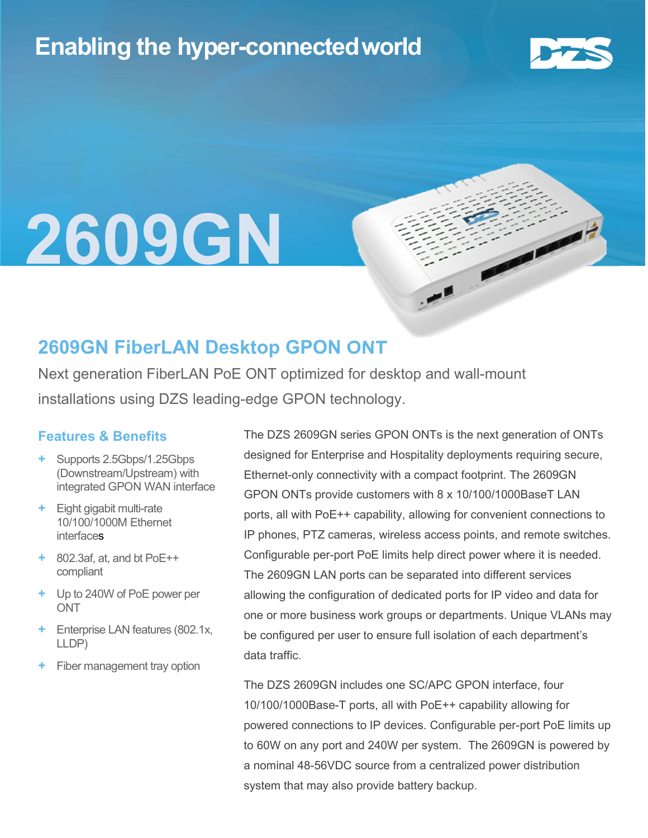### Enabling the hyper-connectedworld



## l 2609GN

### 2609GN FiberLAN Desktop GPON ONT

Next generation FiberLAN PoE ONT optimized for desktop and wall-mount installations using DZS leading-edge GPON technology.

#### Features & Benefits

- Supports 2.5Gbps/1.25Gbps (Downstream/Upstream) with integrated GPON WAN interface
- Eight gigabit multi-rate 10/100/1000M Ethernet interfaces
- $+$  802.3af, at, and bt PoE $++$ compliant
- + Up to 240W of PoE power per **ONT**
- Enterprise LAN features (802.1x, LLDP)
- Fiber management tray option

The DZS 2609GN series GPON ONTs is the next generation of ONTs designed for Enterprise and Hospitality deployments requiring secure, Ethernet-only connectivity with a compact footprint. The 2609GN GPON ONTs provide customers with 8 x 10/100/1000BaseT LAN ports, all with PoE++ capability, allowing for convenient connections to IP phones, PTZ cameras, wireless access points, and remote switches. Configurable per-port PoE limits help direct power where it is needed. The 2609GN LAN ports can be separated into different services allowing the configuration of dedicated ports for IP video and data for one or more business work groups or departments. Unique VLANs may be configured per user to ensure full isolation of each department's data traffic.

The DZS 2609GN includes one SC/APC GPON interface, four 10/100/1000Base-T ports, all with PoE++ capability allowing for powered connections to IP devices. Configurable per-port PoE limits up to 60W on any port and 240W per system. The 2609GN is powered by a nominal 48-56VDC source from a centralized power distribution system that may also provide battery backup.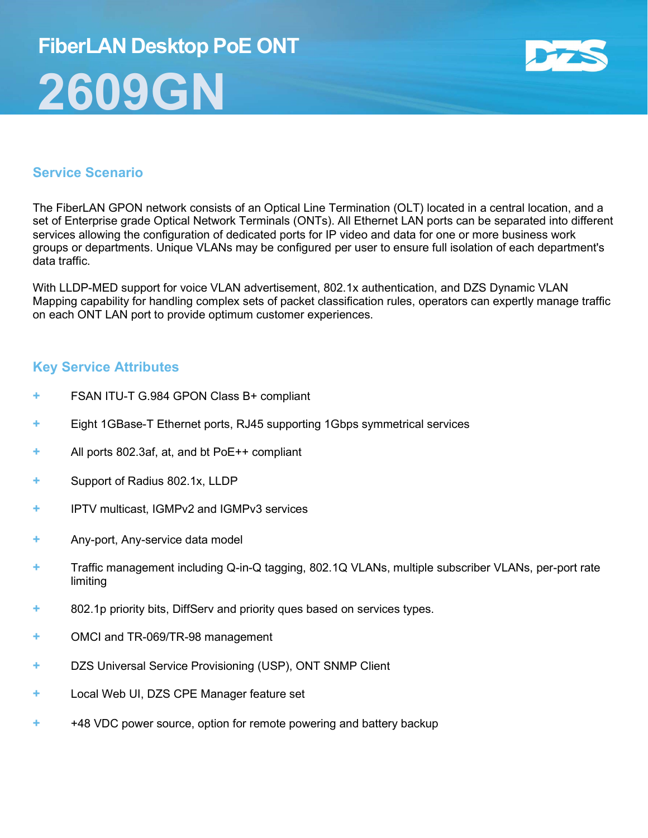# FiberLAN Desktop PoE ONT 2609GN



#### Service Scenario

The FiberLAN GPON network consists of an Optical Line Termination (OLT) located in a central location, and a set of Enterprise grade Optical Network Terminals (ONTs). All Ethernet LAN ports can be separated into different services allowing the configuration of dedicated ports for IP video and data for one or more business work groups or departments. Unique VLANs may be configured per user to ensure full isolation of each department's data traffic.

With LLDP-MED support for voice VLAN advertisement, 802.1x authentication, and DZS Dynamic VLAN Mapping capability for handling complex sets of packet classification rules, operators can expertly manage traffic on each ONT LAN port to provide optimum customer experiences.

#### Key Service Attributes

- FSAN ITU-T G.984 GPON Class B+ compliant
- + Eight 1GBase-T Ethernet ports, RJ45 supporting 1Gbps symmetrical services
- + All ports 802.3af, at, and bt PoE++ compliant
- + Support of Radius 802.1x, LLDP
- + IPTV multicast, IGMPv2 and IGMPv3 services
- + Any-port, Any-service data model
- + Traffic management including Q-in-Q tagging, 802.1Q VLANs, multiple subscriber VLANs, per-port rate limiting
- + 802.1p priority bits, DiffServ and priority ques based on services types.
- + OMCI and TR-069/TR-98 management
- + DZS Universal Service Provisioning (USP), ONT SNMP Client
- + Local Web UI, DZS CPE Manager feature set
- + +48 VDC power source, option for remote powering and battery backup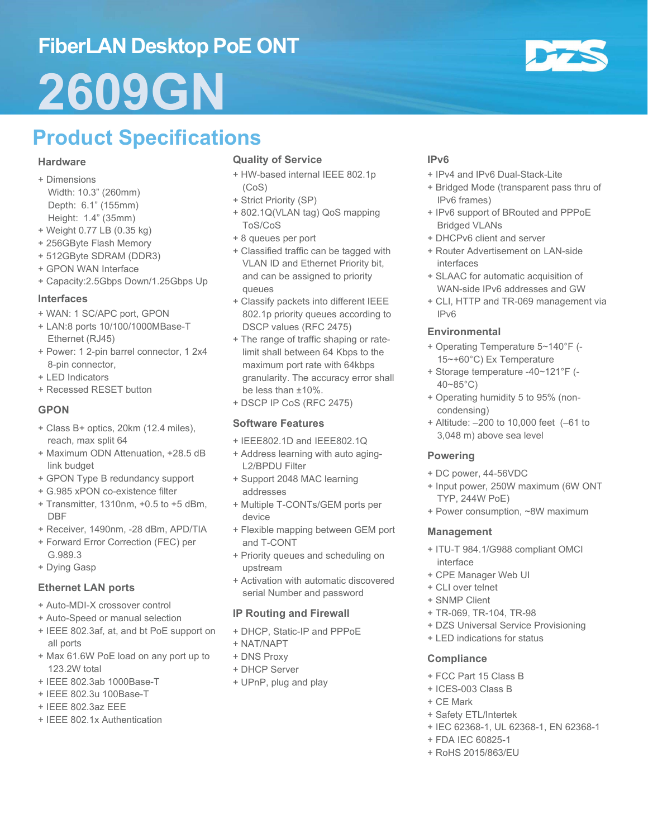## FiberLAN Desktop PoE ONT 2609GN



#### **Hardware**

- + Dimensions
- Width: 10.3" (260mm) Depth: 6.1" (155mm) Height: 1.4" (35mm)
- + Weight 0.77 LB (0.35 kg)
- + 256GByte Flash Memory
- + 512GByte SDRAM (DDR3)
- + GPON WAN Interface
- + Capacity:2.5Gbps Down/1.25Gbps Up

#### Interfaces

- + WAN: 1 SC/APC port, GPON
- + LAN:8 ports 10/100/1000MBase-T Ethernet (RJ45)
- + Power: 1 2-pin barrel connector, 1 2x4 8-pin connector,
- + LED Indicators
- + Recessed RESET button

#### **GPON**

- + Class B+ optics, 20km (12.4 miles), reach, max split 64
- + Maximum ODN Attenuation, +28.5 dB link budget
- + GPON Type B redundancy support
- + G.985 xPON co-existence filter
- + Transmitter, 1310nm, +0.5 to +5 dBm, DBF
- + Receiver, 1490nm, -28 dBm, APD/TIA
- + Forward Error Correction (FEC) per G.989.3
- + Dying Gasp

#### Ethernet LAN ports

- + Auto-MDI-X crossover control
- + Auto-Speed or manual selection
- + IEEE 802.3af, at, and bt PoE support on all ports
- + Max 61.6W PoE load on any port up to 123.2W total
- + IEEE 802.3ab 1000Base-T
- + IEEE 802.3u 100Base-T
- + IEEE 802.3az EEE
- + IEEE 802.1x Authentication

#### Quality of Service

- + HW-based internal IEEE 802.1p (CoS)
- + Strict Priority (SP)
- + 802.1Q(VLAN tag) QoS mapping ToS/CoS
- + 8 queues per port
- + Classified traffic can be tagged with VLAN ID and Ethernet Priority bit, and can be assigned to priority queues
- + Classify packets into different IEEE 802.1p priority queues according to DSCP values (RFC 2475)
- + The range of traffic shaping or ratelimit shall between 64 Kbps to the maximum port rate with 64kbps granularity. The accuracy error shall be less than ±10%.
- + DSCP IP CoS (RFC 2475)

#### Software Features

- + IEEE802.1D and IEEE802.1Q
- + Address learning with auto aging-L2/BPDU Filter
- + Support 2048 MAC learning addresses
- + Multiple T-CONTs/GEM ports per device
- + Flexible mapping between GEM port and T-CONT
- + Priority queues and scheduling on upstream
- + Activation with automatic discovered serial Number and password

#### IP Routing and Firewall

- + DHCP, Static-IP and PPPoE
- + NAT/NAPT
- + DNS Proxy
- + DHCP Server
- + UPnP, plug and play

#### IPv6

- + IPv4 and IPv6 Dual-Stack-Lite
- + Bridged Mode (transparent pass thru of IPv6 frames)
- + IPv6 support of BRouted and PPPoE Bridged VLANs
- + DHCPv6 client and server
- + Router Advertisement on LAN-side interfaces
- + SLAAC for automatic acquisition of WAN-side IPv6 addresses and GW
- + CLI, HTTP and TR-069 management via IPv6

#### Environmental

- + Operating Temperature 5~140°F (- 15~+60°C) Ex Temperature
- + Storage temperature -40~121°F (- 40~85°C)
- + Operating humidity 5 to 95% (noncondensing)
- + Altitude: –200 to 10,000 feet (–61 to 3,048 m) above sea level

#### Powering

- + DC power, 44-56VDC
- + Input power, 250W maximum (6W ONT TYP, 244W PoE)
- + Power consumption, ~8W maximum

#### Management

- + ITU-T 984.1/G988 compliant OMCI interface
- + CPE Manager Web UI
- + CLI over telnet
- + SNMP Client
- + TR-069, TR-104, TR-98
- + DZS Universal Service Provisioning
- + LED indications for status

#### **Compliance**

- + FCC Part 15 Class B
- + ICES-003 Class B
- + CE Mark
- + Safety ETL/Intertek
- + IEC 62368-1, UL 62368-1, EN 62368-1
- + FDA IEC 60825-1
- + RoHS 2015/863/EU